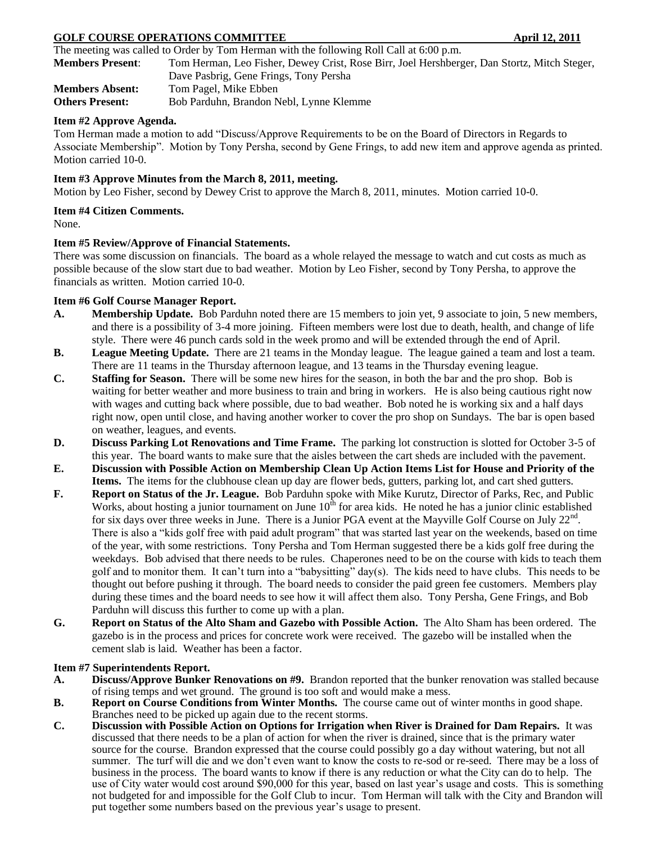# **GOLF COURSE OPERATIONS COMMITTEE 42011** April 12, 2011

The meeting was called to Order by Tom Herman with the following Roll Call at 6:00 p.m.

**Members Present**: Tom Herman, Leo Fisher, Dewey Crist, Rose Birr, Joel Hershberger, Dan Stortz, Mitch Steger, Dave Pasbrig, Gene Frings, Tony Persha **Members Absent:** Tom Pagel, Mike Ebben

**Others Present:** Bob Parduhn, Brandon Nebl, Lynne Klemme

## **Item #2 Approve Agenda.**

Tom Herman made a motion to add "Discuss/Approve Requirements to be on the Board of Directors in Regards to Associate Membership". Motion by Tony Persha, second by Gene Frings, to add new item and approve agenda as printed. Motion carried 10-0.

## **Item #3 Approve Minutes from the March 8, 2011, meeting.**

Motion by Leo Fisher, second by Dewey Crist to approve the March 8, 2011, minutes. Motion carried 10-0.

### **Item #4 Citizen Comments.**

None.

## **Item #5 Review/Approve of Financial Statements.**

There was some discussion on financials. The board as a whole relayed the message to watch and cut costs as much as possible because of the slow start due to bad weather. Motion by Leo Fisher, second by Tony Persha, to approve the financials as written. Motion carried 10-0.

### **Item #6 Golf Course Manager Report.**

- **A. Membership Update.** Bob Parduhn noted there are 15 members to join yet, 9 associate to join, 5 new members, and there is a possibility of 3-4 more joining. Fifteen members were lost due to death, health, and change of life style. There were 46 punch cards sold in the week promo and will be extended through the end of April.
- **B. League Meeting Update.** There are 21 teams in the Monday league. The league gained a team and lost a team. There are 11 teams in the Thursday afternoon league, and 13 teams in the Thursday evening league.
- **C. Staffing for Season.** There will be some new hires for the season, in both the bar and the pro shop. Bob is waiting for better weather and more business to train and bring in workers. He is also being cautious right now with wages and cutting back where possible, due to bad weather. Bob noted he is working six and a half days right now, open until close, and having another worker to cover the pro shop on Sundays. The bar is open based on weather, leagues, and events.
- **D. Discuss Parking Lot Renovations and Time Frame.** The parking lot construction is slotted for October 3-5 of this year. The board wants to make sure that the aisles between the cart sheds are included with the pavement.
- **E. Discussion with Possible Action on Membership Clean Up Action Items List for House and Priority of the Items.** The items for the clubhouse clean up day are flower beds, gutters, parking lot, and cart shed gutters.
- **F. Report on Status of the Jr. League.** Bob Parduhn spoke with Mike Kurutz, Director of Parks, Rec, and Public Works, about hosting a junior tournament on June  $10<sup>th</sup>$  for area kids. He noted he has a junior clinic established for six days over three weeks in June. There is a Junior PGA event at the Mayville Golf Course on July  $22^{nd}$ . There is also a "kids golf free with paid adult program" that was started last year on the weekends, based on time of the year, with some restrictions. Tony Persha and Tom Herman suggested there be a kids golf free during the weekdays. Bob advised that there needs to be rules. Chaperones need to be on the course with kids to teach them golf and to monitor them. It can't turn into a "babysitting" day(s). The kids need to have clubs. This needs to be thought out before pushing it through. The board needs to consider the paid green fee customers. Members play during these times and the board needs to see how it will affect them also. Tony Persha, Gene Frings, and Bob Parduhn will discuss this further to come up with a plan.
- **G. Report on Status of the Alto Sham and Gazebo with Possible Action.** The Alto Sham has been ordered. The gazebo is in the process and prices for concrete work were received. The gazebo will be installed when the cement slab is laid. Weather has been a factor.

## **Item #7 Superintendents Report.**

- **A. Discuss/Approve Bunker Renovations on #9.** Brandon reported that the bunker renovation was stalled because of rising temps and wet ground. The ground is too soft and would make a mess.
- **B. Report on Course Conditions from Winter Months.** The course came out of winter months in good shape. Branches need to be picked up again due to the recent storms.
- **C. Discussion with Possible Action on Options for Irrigation when River is Drained for Dam Repairs.** It was discussed that there needs to be a plan of action for when the river is drained, since that is the primary water source for the course. Brandon expressed that the course could possibly go a day without watering, but not all summer. The turf will die and we don't even want to know the costs to re-sod or re-seed. There may be a loss of business in the process. The board wants to know if there is any reduction or what the City can do to help. The use of City water would cost around \$90,000 for this year, based on last year's usage and costs. This is something not budgeted for and impossible for the Golf Club to incur. Tom Herman will talk with the City and Brandon will put together some numbers based on the previous year's usage to present.